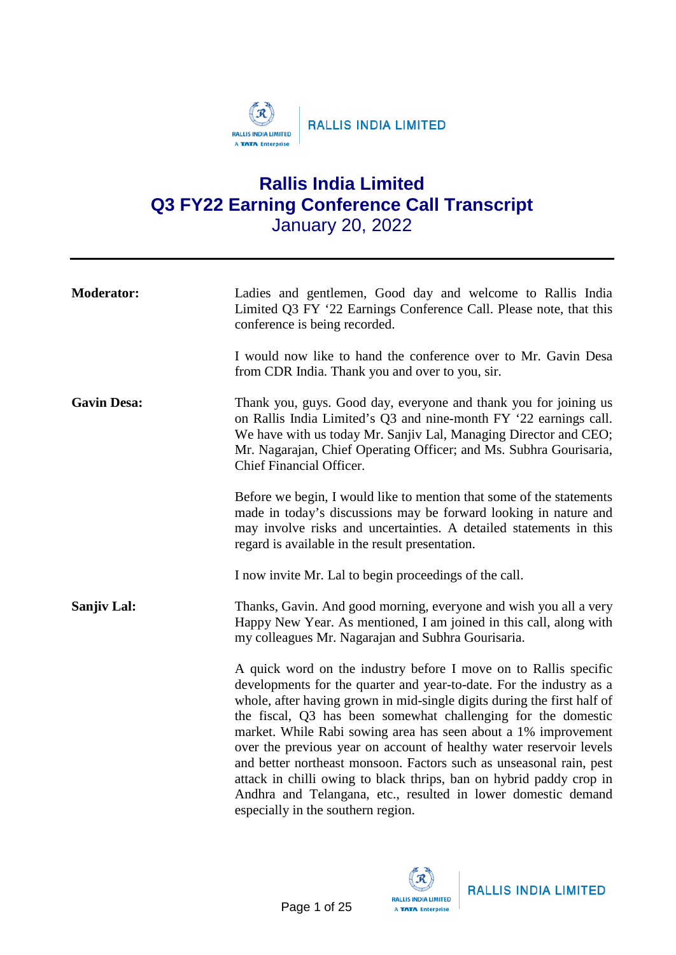

# **Rallis India Limited Q3 FY22 Earning Conference Call Transcript** January 20, 2022

| <b>Moderator:</b>  | Ladies and gentlemen, Good day and welcome to Rallis India<br>Limited Q3 FY '22 Earnings Conference Call. Please note, that this<br>conference is being recorded.                                                                                                                                                                                                                                                                                                                                                                                                                                                                                                                  |
|--------------------|------------------------------------------------------------------------------------------------------------------------------------------------------------------------------------------------------------------------------------------------------------------------------------------------------------------------------------------------------------------------------------------------------------------------------------------------------------------------------------------------------------------------------------------------------------------------------------------------------------------------------------------------------------------------------------|
|                    | I would now like to hand the conference over to Mr. Gavin Desa<br>from CDR India. Thank you and over to you, sir.                                                                                                                                                                                                                                                                                                                                                                                                                                                                                                                                                                  |
| <b>Gavin Desa:</b> | Thank you, guys. Good day, everyone and thank you for joining us<br>on Rallis India Limited's Q3 and nine-month FY '22 earnings call.<br>We have with us today Mr. Sanjiv Lal, Managing Director and CEO;<br>Mr. Nagarajan, Chief Operating Officer; and Ms. Subhra Gourisaria,<br>Chief Financial Officer.                                                                                                                                                                                                                                                                                                                                                                        |
|                    | Before we begin, I would like to mention that some of the statements<br>made in today's discussions may be forward looking in nature and<br>may involve risks and uncertainties. A detailed statements in this<br>regard is available in the result presentation.                                                                                                                                                                                                                                                                                                                                                                                                                  |
|                    | I now invite Mr. Lal to begin proceedings of the call.                                                                                                                                                                                                                                                                                                                                                                                                                                                                                                                                                                                                                             |
| <b>Sanjiv Lal:</b> | Thanks, Gavin. And good morning, everyone and wish you all a very<br>Happy New Year. As mentioned, I am joined in this call, along with<br>my colleagues Mr. Nagarajan and Subhra Gourisaria.                                                                                                                                                                                                                                                                                                                                                                                                                                                                                      |
|                    | A quick word on the industry before I move on to Rallis specific<br>developments for the quarter and year-to-date. For the industry as a<br>whole, after having grown in mid-single digits during the first half of<br>the fiscal, Q3 has been somewhat challenging for the domestic<br>market. While Rabi sowing area has seen about a 1% improvement<br>over the previous year on account of healthy water reservoir levels<br>and better northeast monsoon. Factors such as unseasonal rain, pest<br>attack in chilli owing to black thrips, ban on hybrid paddy crop in<br>Andhra and Telangana, etc., resulted in lower domestic demand<br>especially in the southern region. |



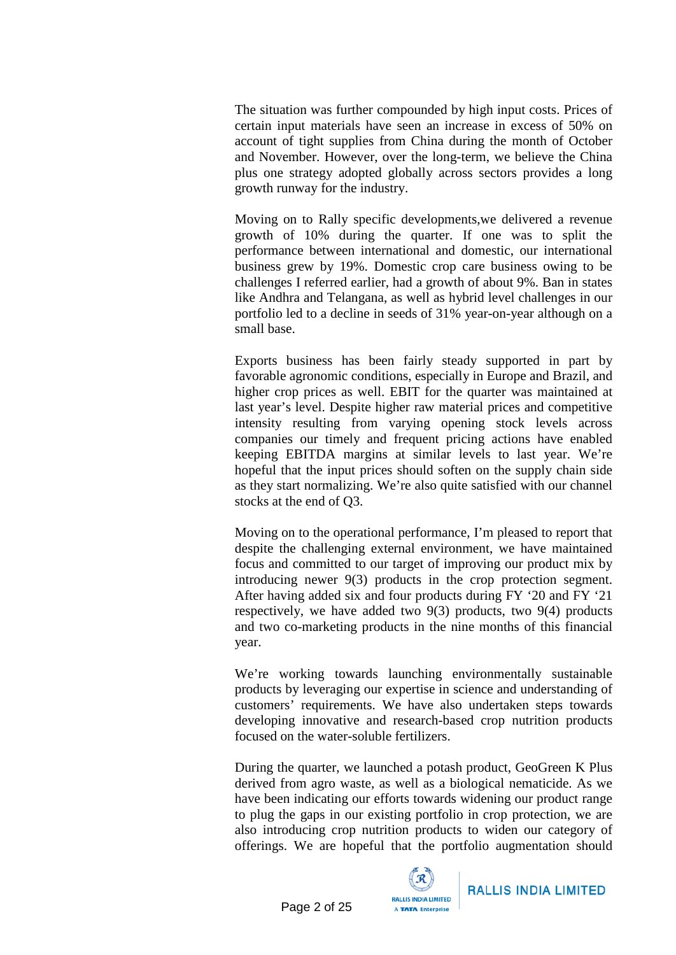The situation was further compounded by high input costs. Prices of certain input materials have seen an increase in excess of 50% on account of tight supplies from China during the month of October and November. However, over the long-term, we believe the China plus one strategy adopted globally across sectors provides a long growth runway for the industry.

Moving on to Rally specific developments,we delivered a revenue growth of 10% during the quarter. If one was to split the performance between international and domestic, our international business grew by 19%. Domestic crop care business owing to be challenges I referred earlier, had a growth of about 9%. Ban in states like Andhra and Telangana, as well as hybrid level challenges in our portfolio led to a decline in seeds of 31% year-on-year although on a small base.

Exports business has been fairly steady supported in part by favorable agronomic conditions, especially in Europe and Brazil, and higher crop prices as well. EBIT for the quarter was maintained at last year's level. Despite higher raw material prices and competitive intensity resulting from varying opening stock levels across companies our timely and frequent pricing actions have enabled keeping EBITDA margins at similar levels to last year. We're hopeful that the input prices should soften on the supply chain side as they start normalizing. We're also quite satisfied with our channel stocks at the end of Q3.

Moving on to the operational performance, I'm pleased to report that despite the challenging external environment, we have maintained focus and committed to our target of improving our product mix by introducing newer 9(3) products in the crop protection segment. After having added six and four products during FY '20 and FY '21 respectively, we have added two 9(3) products, two 9(4) products and two co-marketing products in the nine months of this financial year.

We're working towards launching environmentally sustainable products by leveraging our expertise in science and understanding of customers' requirements. We have also undertaken steps towards developing innovative and research-based crop nutrition products focused on the water-soluble fertilizers.

During the quarter, we launched a potash product, GeoGreen K Plus derived from agro waste, as well as a biological nematicide. As we have been indicating our efforts towards widening our product range to plug the gaps in our existing portfolio in crop protection, we are also introducing crop nutrition products to widen our category of offerings. We are hopeful that the portfolio augmentation should

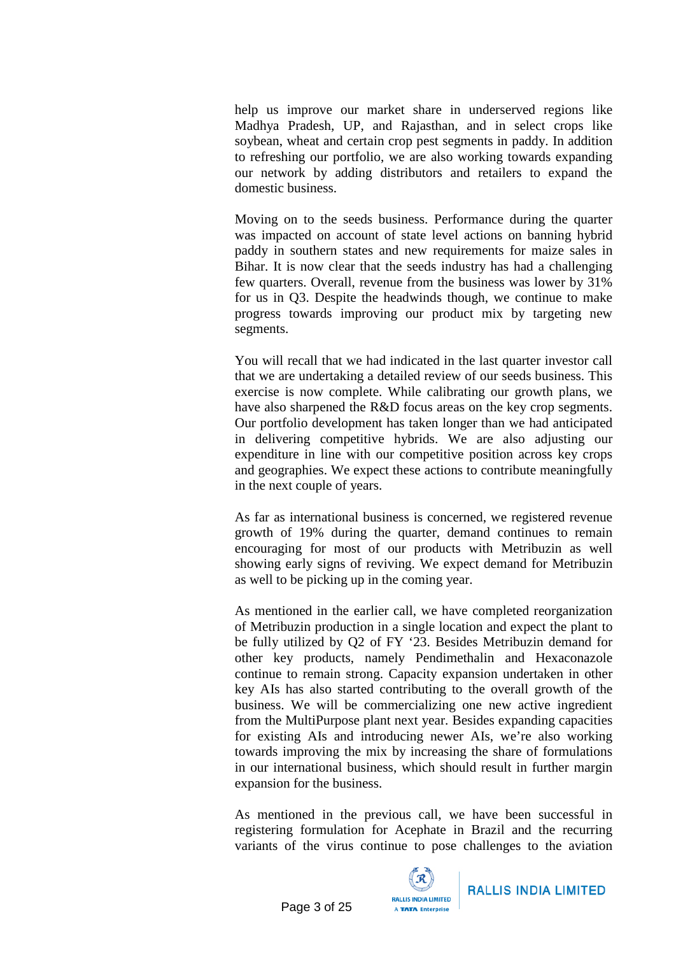help us improve our market share in underserved regions like Madhya Pradesh, UP, and Rajasthan, and in select crops like soybean, wheat and certain crop pest segments in paddy. In addition to refreshing our portfolio, we are also working towards expanding our network by adding distributors and retailers to expand the domestic business.

Moving on to the seeds business. Performance during the quarter was impacted on account of state level actions on banning hybrid paddy in southern states and new requirements for maize sales in Bihar. It is now clear that the seeds industry has had a challenging few quarters. Overall, revenue from the business was lower by 31% for us in Q3. Despite the headwinds though, we continue to make progress towards improving our product mix by targeting new segments.

You will recall that we had indicated in the last quarter investor call that we are undertaking a detailed review of our seeds business. This exercise is now complete. While calibrating our growth plans, we have also sharpened the R&D focus areas on the key crop segments. Our portfolio development has taken longer than we had anticipated in delivering competitive hybrids. We are also adjusting our expenditure in line with our competitive position across key crops and geographies. We expect these actions to contribute meaningfully in the next couple of years.

As far as international business is concerned, we registered revenue growth of 19% during the quarter, demand continues to remain encouraging for most of our products with Metribuzin as well showing early signs of reviving. We expect demand for Metribuzin as well to be picking up in the coming year.

As mentioned in the earlier call, we have completed reorganization of Metribuzin production in a single location and expect the plant to be fully utilized by Q2 of FY '23. Besides Metribuzin demand for other key products, namely Pendimethalin and Hexaconazole continue to remain strong. Capacity expansion undertaken in other key AIs has also started contributing to the overall growth of the business. We will be commercializing one new active ingredient from the MultiPurpose plant next year. Besides expanding capacities for existing AIs and introducing newer AIs, we're also working towards improving the mix by increasing the share of formulations in our international business, which should result in further margin expansion for the business.

As mentioned in the previous call, we have been successful in registering formulation for Acephate in Brazil and the recurring variants of the virus continue to pose challenges to the aviation

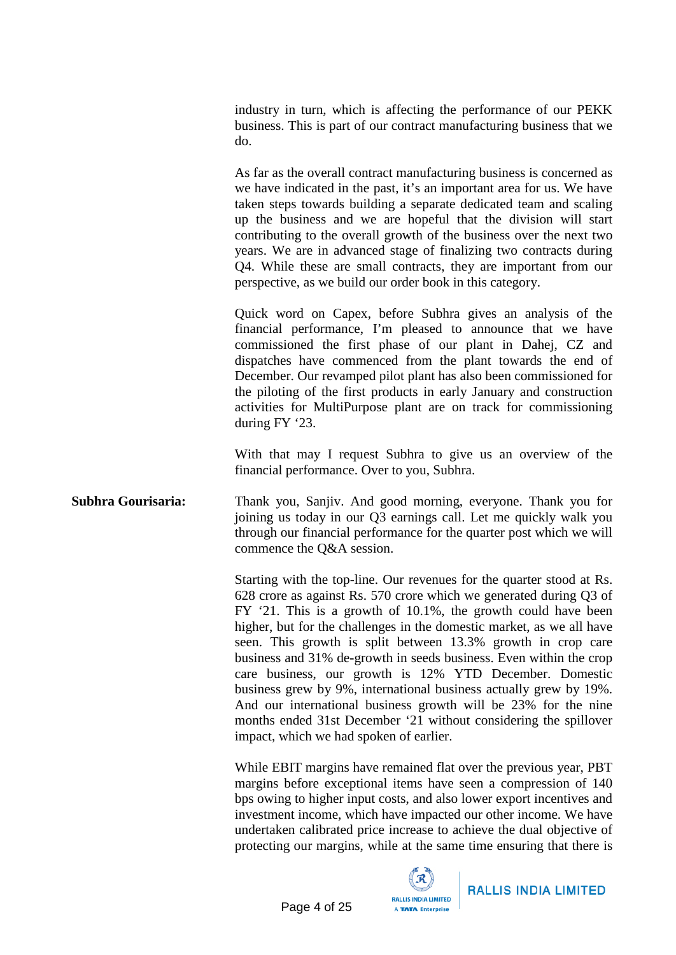industry in turn, which is affecting the performance of our PEKK business. This is part of our contract manufacturing business that we do.

As far as the overall contract manufacturing business is concerned as we have indicated in the past, it's an important area for us. We have taken steps towards building a separate dedicated team and scaling up the business and we are hopeful that the division will start contributing to the overall growth of the business over the next two years. We are in advanced stage of finalizing two contracts during Q4. While these are small contracts, they are important from our perspective, as we build our order book in this category.

Quick word on Capex, before Subhra gives an analysis of the financial performance, I'm pleased to announce that we have commissioned the first phase of our plant in Dahej, CZ and dispatches have commenced from the plant towards the end of December. Our revamped pilot plant has also been commissioned for the piloting of the first products in early January and construction activities for MultiPurpose plant are on track for commissioning during FY '23.

With that may I request Subhra to give us an overview of the financial performance. Over to you, Subhra.

**Subhra Gourisaria:** Thank you, Sanjiv. And good morning, everyone. Thank you for joining us today in our Q3 earnings call. Let me quickly walk you through our financial performance for the quarter post which we will commence the Q&A session.

> Starting with the top-line. Our revenues for the quarter stood at Rs. 628 crore as against Rs. 570 crore which we generated during Q3 of FY '21. This is a growth of 10.1%, the growth could have been higher, but for the challenges in the domestic market, as we all have seen. This growth is split between 13.3% growth in crop care business and 31% de-growth in seeds business. Even within the crop care business, our growth is 12% YTD December. Domestic business grew by 9%, international business actually grew by 19%. And our international business growth will be 23% for the nine months ended 31st December '21 without considering the spillover impact, which we had spoken of earlier.

> While EBIT margins have remained flat over the previous year, PBT margins before exceptional items have seen a compression of 140 bps owing to higher input costs, and also lower export incentives and investment income, which have impacted our other income. We have undertaken calibrated price increase to achieve the dual objective of protecting our margins, while at the same time ensuring that there is

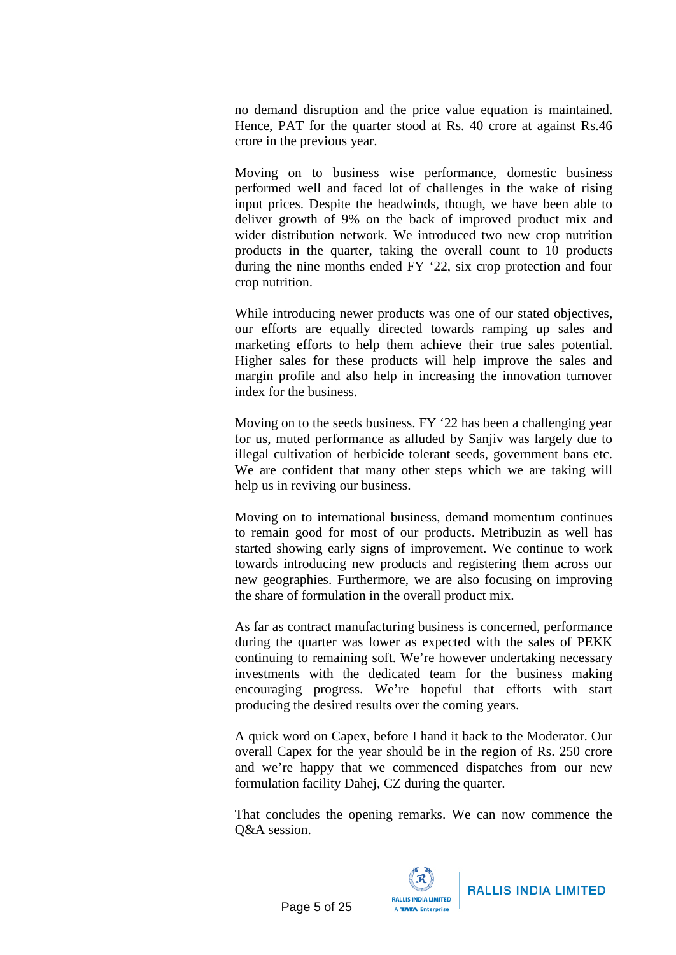no demand disruption and the price value equation is maintained. Hence, PAT for the quarter stood at Rs. 40 crore at against Rs.46 crore in the previous year.

Moving on to business wise performance, domestic business performed well and faced lot of challenges in the wake of rising input prices. Despite the headwinds, though, we have been able to deliver growth of 9% on the back of improved product mix and wider distribution network. We introduced two new crop nutrition products in the quarter, taking the overall count to 10 products during the nine months ended FY '22, six crop protection and four crop nutrition.

While introducing newer products was one of our stated objectives, our efforts are equally directed towards ramping up sales and marketing efforts to help them achieve their true sales potential. Higher sales for these products will help improve the sales and margin profile and also help in increasing the innovation turnover index for the business.

Moving on to the seeds business. FY '22 has been a challenging year for us, muted performance as alluded by Sanjiv was largely due to illegal cultivation of herbicide tolerant seeds, government bans etc. We are confident that many other steps which we are taking will help us in reviving our business.

Moving on to international business, demand momentum continues to remain good for most of our products. Metribuzin as well has started showing early signs of improvement. We continue to work towards introducing new products and registering them across our new geographies. Furthermore, we are also focusing on improving the share of formulation in the overall product mix.

As far as contract manufacturing business is concerned, performance during the quarter was lower as expected with the sales of PEKK continuing to remaining soft. We're however undertaking necessary investments with the dedicated team for the business making encouraging progress. We're hopeful that efforts with start producing the desired results over the coming years.

A quick word on Capex, before I hand it back to the Moderator. Our overall Capex for the year should be in the region of Rs. 250 crore and we're happy that we commenced dispatches from our new formulation facility Dahej, CZ during the quarter.

That concludes the opening remarks. We can now commence the Q&A session.

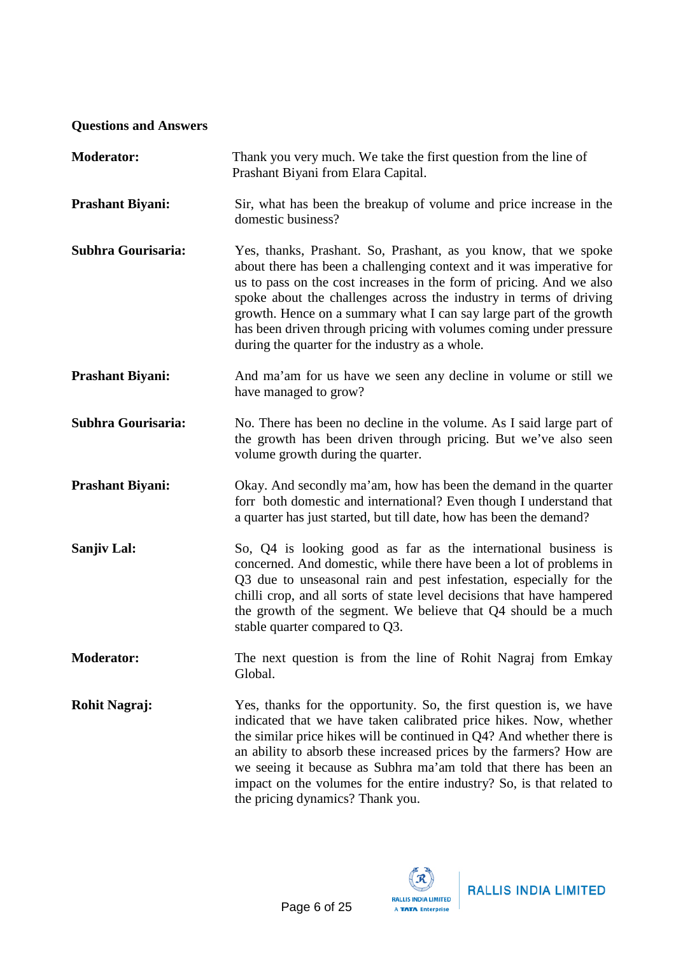## **Questions and Answers**

| <b>Moderator:</b>       | Thank you very much. We take the first question from the line of<br>Prashant Biyani from Elara Capital.                                                                                                                                                                                                                                                                                                                                                                              |
|-------------------------|--------------------------------------------------------------------------------------------------------------------------------------------------------------------------------------------------------------------------------------------------------------------------------------------------------------------------------------------------------------------------------------------------------------------------------------------------------------------------------------|
| <b>Prashant Biyani:</b> | Sir, what has been the breakup of volume and price increase in the<br>domestic business?                                                                                                                                                                                                                                                                                                                                                                                             |
| Subhra Gourisaria:      | Yes, thanks, Prashant. So, Prashant, as you know, that we spoke<br>about there has been a challenging context and it was imperative for<br>us to pass on the cost increases in the form of pricing. And we also<br>spoke about the challenges across the industry in terms of driving<br>growth. Hence on a summary what I can say large part of the growth<br>has been driven through pricing with volumes coming under pressure<br>during the quarter for the industry as a whole. |
| <b>Prashant Biyani:</b> | And ma'am for us have we seen any decline in volume or still we<br>have managed to grow?                                                                                                                                                                                                                                                                                                                                                                                             |
| Subhra Gourisaria:      | No. There has been no decline in the volume. As I said large part of<br>the growth has been driven through pricing. But we've also seen<br>volume growth during the quarter.                                                                                                                                                                                                                                                                                                         |
| <b>Prashant Biyani:</b> | Okay. And secondly ma'am, how has been the demand in the quarter<br>forr both domestic and international? Even though I understand that<br>a quarter has just started, but till date, how has been the demand?                                                                                                                                                                                                                                                                       |
| Sanjiv Lal:             | So, Q4 is looking good as far as the international business is<br>concerned. And domestic, while there have been a lot of problems in<br>Q3 due to unseasonal rain and pest infestation, especially for the<br>chilli crop, and all sorts of state level decisions that have hampered<br>the growth of the segment. We believe that Q4 should be a much<br>stable quarter compared to Q3.                                                                                            |
| <b>Moderator:</b>       | The next question is from the line of Rohit Nagraj from Emkay<br>Global.                                                                                                                                                                                                                                                                                                                                                                                                             |
| <b>Rohit Nagraj:</b>    | Yes, thanks for the opportunity. So, the first question is, we have<br>indicated that we have taken calibrated price hikes. Now, whether<br>the similar price hikes will be continued in Q4? And whether there is<br>an ability to absorb these increased prices by the farmers? How are<br>we seeing it because as Subhra ma'am told that there has been an<br>impact on the volumes for the entire industry? So, is that related to<br>the pricing dynamics? Thank you.            |

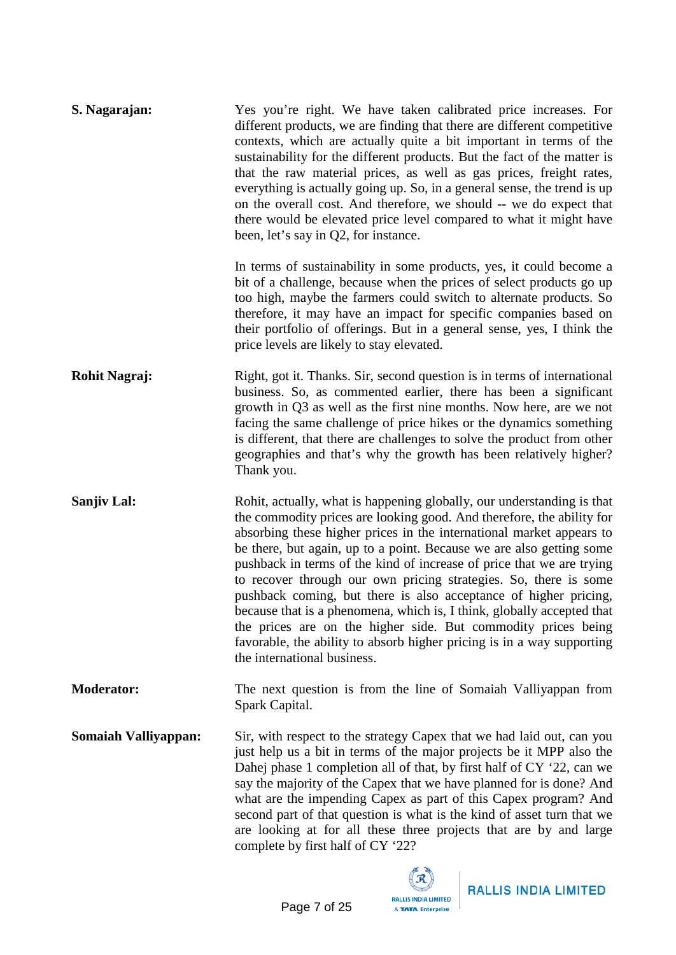| S. Nagarajan:               | Yes you're right. We have taken calibrated price increases. For<br>different products, we are finding that there are different competitive<br>contexts, which are actually quite a bit important in terms of the<br>sustainability for the different products. But the fact of the matter is<br>that the raw material prices, as well as gas prices, freight rates,<br>everything is actually going up. So, in a general sense, the trend is up<br>on the overall cost. And therefore, we should -- we do expect that<br>there would be elevated price level compared to what it might have<br>been, let's say in Q2, for instance.                                                                                                                                  |
|-----------------------------|----------------------------------------------------------------------------------------------------------------------------------------------------------------------------------------------------------------------------------------------------------------------------------------------------------------------------------------------------------------------------------------------------------------------------------------------------------------------------------------------------------------------------------------------------------------------------------------------------------------------------------------------------------------------------------------------------------------------------------------------------------------------|
|                             | In terms of sustainability in some products, yes, it could become a<br>bit of a challenge, because when the prices of select products go up<br>too high, maybe the farmers could switch to alternate products. So<br>therefore, it may have an impact for specific companies based on<br>their portfolio of offerings. But in a general sense, yes, I think the<br>price levels are likely to stay elevated.                                                                                                                                                                                                                                                                                                                                                         |
| <b>Rohit Nagraj:</b>        | Right, got it. Thanks. Sir, second question is in terms of international<br>business. So, as commented earlier, there has been a significant<br>growth in Q3 as well as the first nine months. Now here, are we not<br>facing the same challenge of price hikes or the dynamics something<br>is different, that there are challenges to solve the product from other<br>geographies and that's why the growth has been relatively higher?<br>Thank you.                                                                                                                                                                                                                                                                                                              |
| Sanjiv Lal:                 | Rohit, actually, what is happening globally, our understanding is that<br>the commodity prices are looking good. And therefore, the ability for<br>absorbing these higher prices in the international market appears to<br>be there, but again, up to a point. Because we are also getting some<br>pushback in terms of the kind of increase of price that we are trying<br>to recover through our own pricing strategies. So, there is some<br>pushback coming, but there is also acceptance of higher pricing,<br>because that is a phenomena, which is, I think, globally accepted that<br>the prices are on the higher side. But commodity prices being<br>favorable, the ability to absorb higher pricing is in a way supporting<br>the international business. |
| <b>Moderator:</b>           | The next question is from the line of Somaiah Valliyappan from<br>Spark Capital.                                                                                                                                                                                                                                                                                                                                                                                                                                                                                                                                                                                                                                                                                     |
| <b>Somaiah Valliyappan:</b> | Sir, with respect to the strategy Capex that we had laid out, can you<br>just help us a bit in terms of the major projects be it MPP also the<br>Dahej phase 1 completion all of that, by first half of CY '22, can we<br>say the majority of the Capex that we have planned for is done? And<br>what are the impending Capex as part of this Capex program? And<br>second part of that question is what is the kind of asset turn that we<br>are looking at for all these three projects that are by and large<br>complete by first half of CY '22?                                                                                                                                                                                                                 |

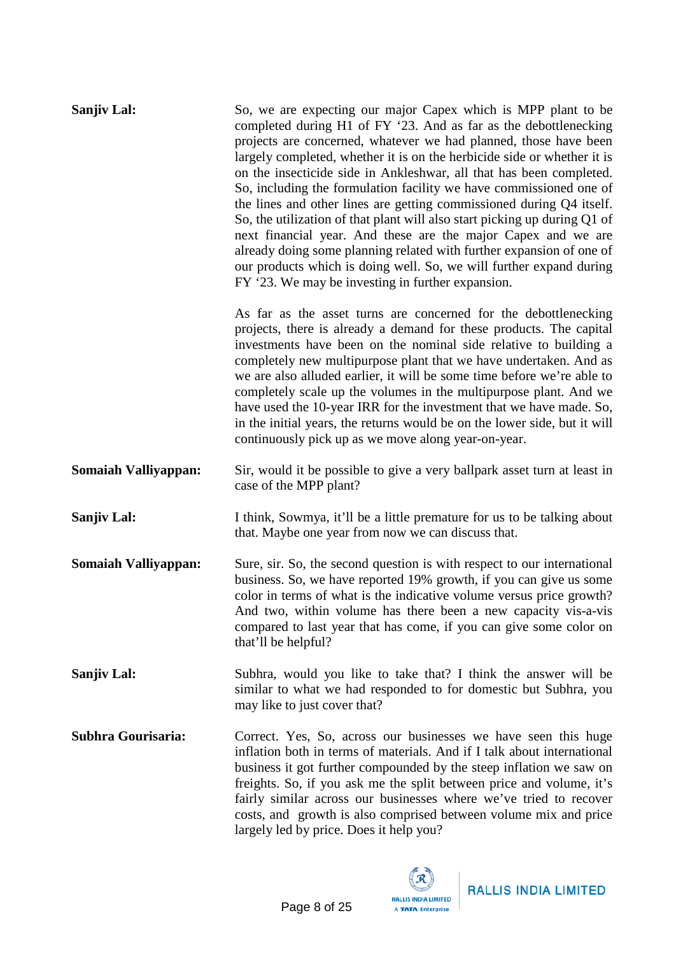| Sanjiv Lal:                 | So, we are expecting our major Capex which is MPP plant to be<br>completed during H1 of FY '23. And as far as the debottlenecking<br>projects are concerned, whatever we had planned, those have been<br>largely completed, whether it is on the herbicide side or whether it is<br>on the insecticide side in Ankleshwar, all that has been completed.<br>So, including the formulation facility we have commissioned one of<br>the lines and other lines are getting commissioned during Q4 itself.<br>So, the utilization of that plant will also start picking up during Q1 of<br>next financial year. And these are the major Capex and we are<br>already doing some planning related with further expansion of one of<br>our products which is doing well. So, we will further expand during<br>FY '23. We may be investing in further expansion. |
|-----------------------------|---------------------------------------------------------------------------------------------------------------------------------------------------------------------------------------------------------------------------------------------------------------------------------------------------------------------------------------------------------------------------------------------------------------------------------------------------------------------------------------------------------------------------------------------------------------------------------------------------------------------------------------------------------------------------------------------------------------------------------------------------------------------------------------------------------------------------------------------------------|
|                             | As far as the asset turns are concerned for the debottlenecking<br>projects, there is already a demand for these products. The capital<br>investments have been on the nominal side relative to building a<br>completely new multipurpose plant that we have undertaken. And as<br>we are also alluded earlier, it will be some time before we're able to<br>completely scale up the volumes in the multipurpose plant. And we<br>have used the 10-year IRR for the investment that we have made. So,<br>in the initial years, the returns would be on the lower side, but it will<br>continuously pick up as we move along year-on-year.                                                                                                                                                                                                               |
| <b>Somaiah Valliyappan:</b> | Sir, would it be possible to give a very ballpark asset turn at least in<br>case of the MPP plant?                                                                                                                                                                                                                                                                                                                                                                                                                                                                                                                                                                                                                                                                                                                                                      |
| <b>Sanjiv Lal:</b>          | I think, Sowmya, it'll be a little premature for us to be talking about<br>that. Maybe one year from now we can discuss that.                                                                                                                                                                                                                                                                                                                                                                                                                                                                                                                                                                                                                                                                                                                           |
| <b>Somaiah Valliyappan:</b> | Sure, sir. So, the second question is with respect to our international<br>business. So, we have reported 19% growth, if you can give us some<br>color in terms of what is the indicative volume versus price growth?<br>And two, within volume has there been a new capacity vis-a-vis<br>compared to last year that has come, if you can give some color on<br>that'll be helpful?                                                                                                                                                                                                                                                                                                                                                                                                                                                                    |
| Sanjiv Lal:                 | Subhra, would you like to take that? I think the answer will be<br>similar to what we had responded to for domestic but Subhra, you<br>may like to just cover that?                                                                                                                                                                                                                                                                                                                                                                                                                                                                                                                                                                                                                                                                                     |
| <b>Subhra Gourisaria:</b>   | Correct. Yes, So, across our businesses we have seen this huge<br>inflation both in terms of materials. And if I talk about international<br>business it got further compounded by the steep inflation we saw on<br>freights. So, if you ask me the split between price and volume, it's<br>fairly similar across our businesses where we've tried to recover<br>costs, and growth is also comprised between volume mix and price<br>largely led by price. Does it help you?                                                                                                                                                                                                                                                                                                                                                                            |

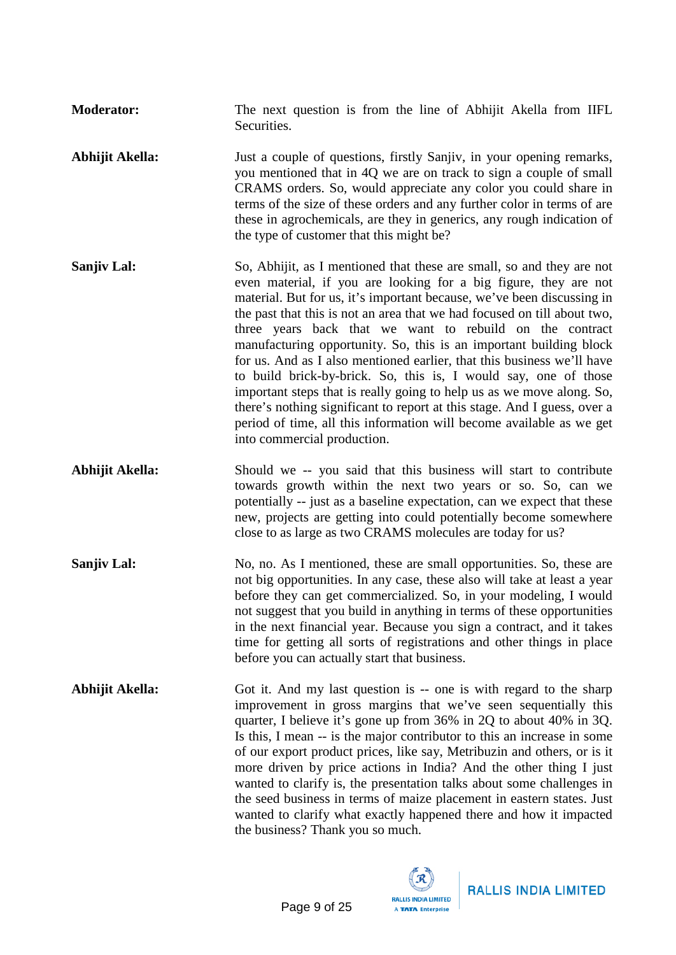**Moderator:** The next question is from the line of Abhijit Akella from IIFL **Securities.** 

- **Abhijit Akella:** Just a couple of questions, firstly Sanjiv, in your opening remarks, you mentioned that in 4Q we are on track to sign a couple of small CRAMS orders. So, would appreciate any color you could share in terms of the size of these orders and any further color in terms of are these in agrochemicals, are they in generics, any rough indication of the type of customer that this might be?
- **Sanjiv Lal:** So, Abhijit, as I mentioned that these are small, so and they are not even material, if you are looking for a big figure, they are not material. But for us, it's important because, we've been discussing in the past that this is not an area that we had focused on till about two, three years back that we want to rebuild on the contract manufacturing opportunity. So, this is an important building block for us. And as I also mentioned earlier, that this business we'll have to build brick-by-brick. So, this is, I would say, one of those important steps that is really going to help us as we move along. So, there's nothing significant to report at this stage. And I guess, over a period of time, all this information will become available as we get into commercial production.
- Abhijit Akella: Should we -- you said that this business will start to contribute towards growth within the next two years or so. So, can we potentially -- just as a baseline expectation, can we expect that these new, projects are getting into could potentially become somewhere close to as large as two CRAMS molecules are today for us?
- **Sanjiv Lal:** No, no. As I mentioned, these are small opportunities. So, these are not big opportunities. In any case, these also will take at least a year before they can get commercialized. So, in your modeling, I would not suggest that you build in anything in terms of these opportunities in the next financial year. Because you sign a contract, and it takes time for getting all sorts of registrations and other things in place before you can actually start that business.
- **Abhijit Akella:** Got it. And my last question is -- one is with regard to the sharp improvement in gross margins that we've seen sequentially this quarter, I believe it's gone up from 36% in 2Q to about 40% in 3Q. Is this, I mean -- is the major contributor to this an increase in some of our export product prices, like say, Metribuzin and others, or is it more driven by price actions in India? And the other thing I just wanted to clarify is, the presentation talks about some challenges in the seed business in terms of maize placement in eastern states. Just wanted to clarify what exactly happened there and how it impacted the business? Thank you so much.

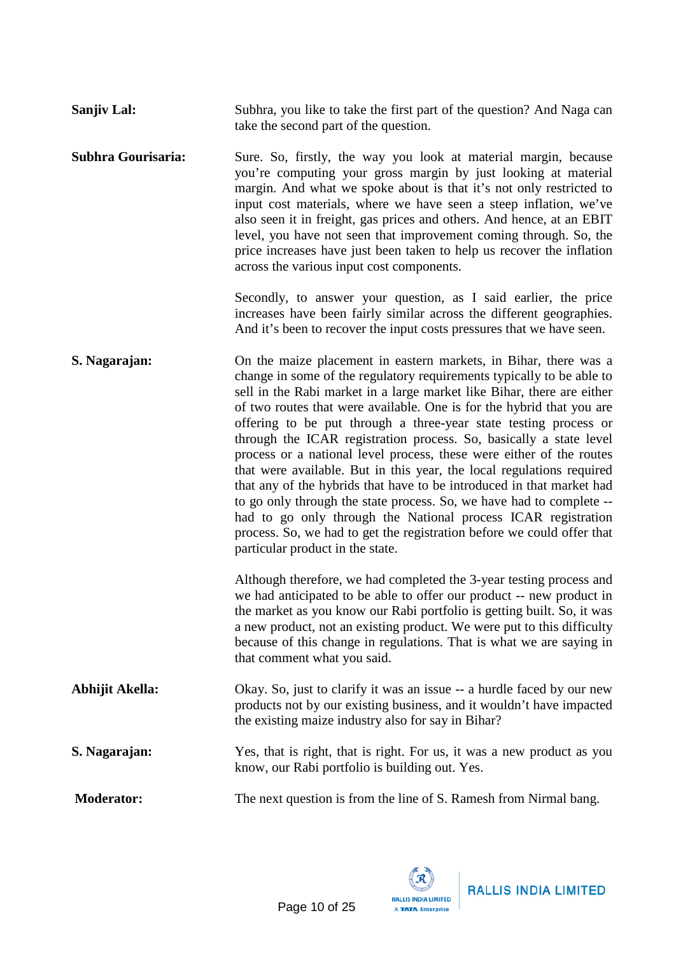**Sanjiv Lal:** Subhra, you like to take the first part of the question? And Naga can take the second part of the question.

**Subhra Gourisaria:** Sure. So, firstly, the way you look at material margin, because you're computing your gross margin by just looking at material margin. And what we spoke about is that it's not only restricted to input cost materials, where we have seen a steep inflation, we've also seen it in freight, gas prices and others. And hence, at an EBIT level, you have not seen that improvement coming through. So, the price increases have just been taken to help us recover the inflation across the various input cost components.

> Secondly, to answer your question, as I said earlier, the price increases have been fairly similar across the different geographies. And it's been to recover the input costs pressures that we have seen.

**S. Nagarajan:** On the maize placement in eastern markets, in Bihar, there was a change in some of the regulatory requirements typically to be able to sell in the Rabi market in a large market like Bihar, there are either of two routes that were available. One is for the hybrid that you are offering to be put through a three-year state testing process or through the ICAR registration process. So, basically a state level process or a national level process, these were either of the routes that were available. But in this year, the local regulations required that any of the hybrids that have to be introduced in that market had to go only through the state process. So, we have had to complete - had to go only through the National process ICAR registration process. So, we had to get the registration before we could offer that particular product in the state.

> Although therefore, we had completed the 3-year testing process and we had anticipated to be able to offer our product -- new product in the market as you know our Rabi portfolio is getting built. So, it was a new product, not an existing product. We were put to this difficulty because of this change in regulations. That is what we are saying in that comment what you said.

- **Abhijit Akella:** Okay. So, just to clarify it was an issue -- a hurdle faced by our new products not by our existing business, and it wouldn't have impacted the existing maize industry also for say in Bihar?
- **S. Nagarajan:** Yes, that is right, that is right. For us, it was a new product as you know, our Rabi portfolio is building out. Yes.

**Moderator:** The next question is from the line of S. Ramesh from Nirmal bang.

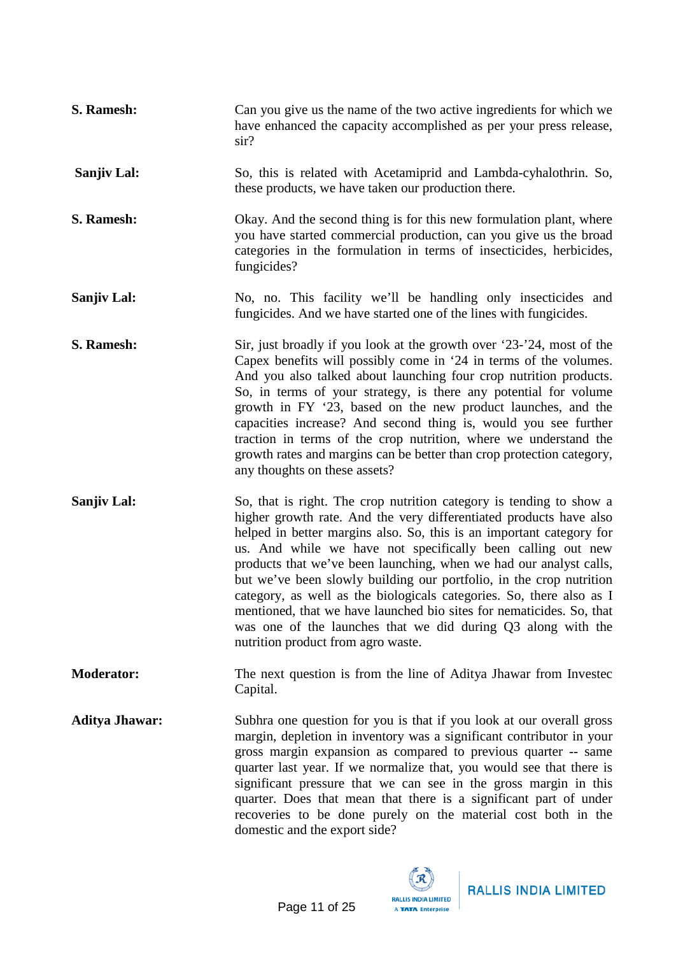| S. Ramesh:            | Can you give us the name of the two active ingredients for which we<br>have enhanced the capacity accomplished as per your press release,<br>$\sin$ ?                                                                                                                                                                                                                                                                                                                                                                                                                                                                                                                               |
|-----------------------|-------------------------------------------------------------------------------------------------------------------------------------------------------------------------------------------------------------------------------------------------------------------------------------------------------------------------------------------------------------------------------------------------------------------------------------------------------------------------------------------------------------------------------------------------------------------------------------------------------------------------------------------------------------------------------------|
| <b>Sanjiv Lal:</b>    | So, this is related with Acetamiprid and Lambda-cyhalothrin. So,<br>these products, we have taken our production there.                                                                                                                                                                                                                                                                                                                                                                                                                                                                                                                                                             |
| S. Ramesh:            | Okay. And the second thing is for this new formulation plant, where<br>you have started commercial production, can you give us the broad<br>categories in the formulation in terms of insecticides, herbicides,<br>fungicides?                                                                                                                                                                                                                                                                                                                                                                                                                                                      |
| <b>Sanjiv Lal:</b>    | No, no. This facility we'll be handling only insecticides and<br>fungicides. And we have started one of the lines with fungicides.                                                                                                                                                                                                                                                                                                                                                                                                                                                                                                                                                  |
| S. Ramesh:            | Sir, just broadly if you look at the growth over '23-'24, most of the<br>Capex benefits will possibly come in '24 in terms of the volumes.<br>And you also talked about launching four crop nutrition products.<br>So, in terms of your strategy, is there any potential for volume<br>growth in FY '23, based on the new product launches, and the<br>capacities increase? And second thing is, would you see further<br>traction in terms of the crop nutrition, where we understand the<br>growth rates and margins can be better than crop protection category,<br>any thoughts on these assets?                                                                                |
| Sanjiv Lal:           | So, that is right. The crop nutrition category is tending to show a<br>higher growth rate. And the very differentiated products have also<br>helped in better margins also. So, this is an important category for<br>us. And while we have not specifically been calling out new<br>products that we've been launching, when we had our analyst calls,<br>but we've been slowly building our portfolio, in the crop nutrition<br>category, as well as the biologicals categories. So, there also as I<br>mentioned, that we have launched bio sites for nematicides. So, that<br>was one of the launches that we did during Q3 along with the<br>nutrition product from agro waste. |
| <b>Moderator:</b>     | The next question is from the line of Aditya Jhawar from Invested<br>Capital.                                                                                                                                                                                                                                                                                                                                                                                                                                                                                                                                                                                                       |
| <b>Aditya Jhawar:</b> | Subhra one question for you is that if you look at our overall gross<br>margin, depletion in inventory was a significant contributor in your<br>gross margin expansion as compared to previous quarter -- same<br>quarter last year. If we normalize that, you would see that there is<br>significant pressure that we can see in the gross margin in this<br>quarter. Does that mean that there is a significant part of under<br>recoveries to be done purely on the material cost both in the<br>domestic and the export side?                                                                                                                                                   |

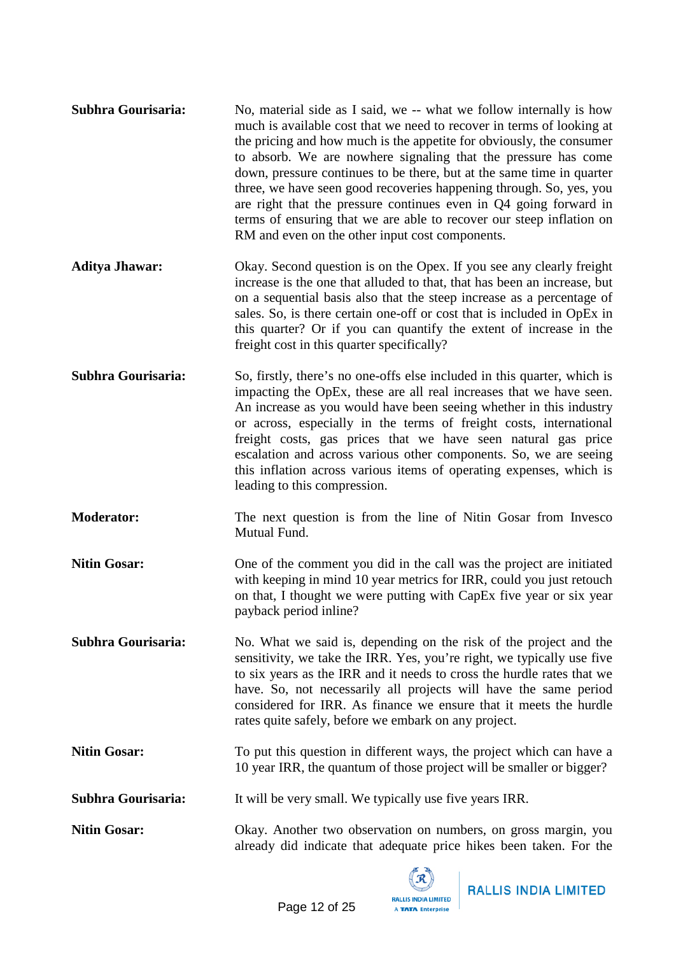- **Subhra Gourisaria:** No, material side as I said, we -- what we follow internally is how much is available cost that we need to recover in terms of looking at the pricing and how much is the appetite for obviously, the consumer to absorb. We are nowhere signaling that the pressure has come down, pressure continues to be there, but at the same time in quarter three, we have seen good recoveries happening through. So, yes, you are right that the pressure continues even in Q4 going forward in terms of ensuring that we are able to recover our steep inflation on RM and even on the other input cost components.
- **Aditya Jhawar:** Okay. Second question is on the Opex. If you see any clearly freight increase is the one that alluded to that, that has been an increase, but on a sequential basis also that the steep increase as a percentage of sales. So, is there certain one-off or cost that is included in OpEx in this quarter? Or if you can quantify the extent of increase in the freight cost in this quarter specifically?
- **Subhra Gourisaria:** So, firstly, there's no one-offs else included in this quarter, which is impacting the OpEx, these are all real increases that we have seen. An increase as you would have been seeing whether in this industry or across, especially in the terms of freight costs, international freight costs, gas prices that we have seen natural gas price escalation and across various other components. So, we are seeing this inflation across various items of operating expenses, which is leading to this compression.
- **Moderator:** The next question is from the line of Nitin Gosar from Invesco Mutual Fund.
- **Nitin Gosar:** One of the comment you did in the call was the project are initiated with keeping in mind 10 year metrics for IRR, could you just retouch on that, I thought we were putting with CapEx five year or six year payback period inline?

**Subhra Gourisaria:** No. What we said is, depending on the risk of the project and the sensitivity, we take the IRR. Yes, you're right, we typically use five to six years as the IRR and it needs to cross the hurdle rates that we have. So, not necessarily all projects will have the same period considered for IRR. As finance we ensure that it meets the hurdle rates quite safely, before we embark on any project.

**Nitin Gosar:** To put this question in different ways, the project which can have a 10 year IRR, the quantum of those project will be smaller or bigger?

**Subhra Gourisaria:** It will be very small. We typically use five years IRR.

**Nitin Gosar:** Okay. Another two observation on numbers, on gross margin, you already did indicate that adequate price hikes been taken. For the

> **RALLIS INDIA LIMITED** A TATA Enterprise



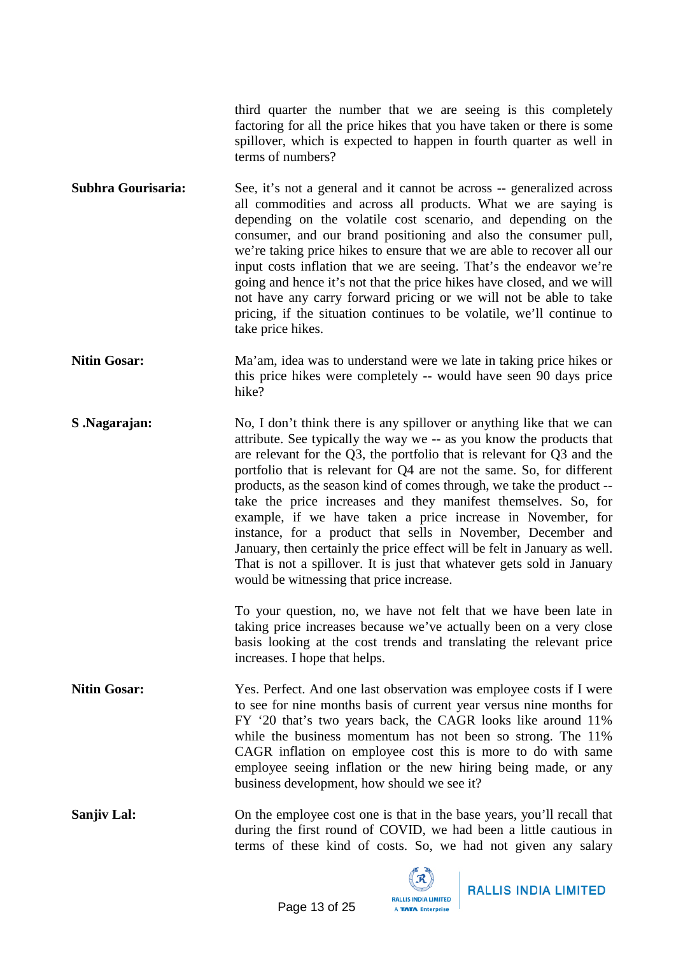third quarter the number that we are seeing is this completely factoring for all the price hikes that you have taken or there is some spillover, which is expected to happen in fourth quarter as well in terms of numbers?

**Subhra Gourisaria:** See, it's not a general and it cannot be across -- generalized across all commodities and across all products. What we are saying is depending on the volatile cost scenario, and depending on the consumer, and our brand positioning and also the consumer pull, we're taking price hikes to ensure that we are able to recover all our input costs inflation that we are seeing. That's the endeavor we're going and hence it's not that the price hikes have closed, and we will not have any carry forward pricing or we will not be able to take pricing, if the situation continues to be volatile, we'll continue to take price hikes.

- **Nitin Gosar:** Ma'am, idea was to understand were we late in taking price hikes or this price hikes were completely -- would have seen 90 days price hike?
- **S .Nagarajan:** No, I don't think there is any spillover or anything like that we can attribute. See typically the way we -- as you know the products that are relevant for the Q3, the portfolio that is relevant for Q3 and the portfolio that is relevant for Q4 are not the same. So, for different products, as the season kind of comes through, we take the product - take the price increases and they manifest themselves. So, for example, if we have taken a price increase in November, for instance, for a product that sells in November, December and January, then certainly the price effect will be felt in January as well. That is not a spillover. It is just that whatever gets sold in January would be witnessing that price increase.

To your question, no, we have not felt that we have been late in taking price increases because we've actually been on a very close basis looking at the cost trends and translating the relevant price increases. I hope that helps.

**Nitin Gosar:** Yes. Perfect. And one last observation was employee costs if I were to see for nine months basis of current year versus nine months for FY '20 that's two years back, the CAGR looks like around 11% while the business momentum has not been so strong. The 11% CAGR inflation on employee cost this is more to do with same employee seeing inflation or the new hiring being made, or any business development, how should we see it?

**Sanjiv Lal:** On the employee cost one is that in the base years, you'll recall that during the first round of COVID, we had been a little cautious in terms of these kind of costs. So, we had not given any salary

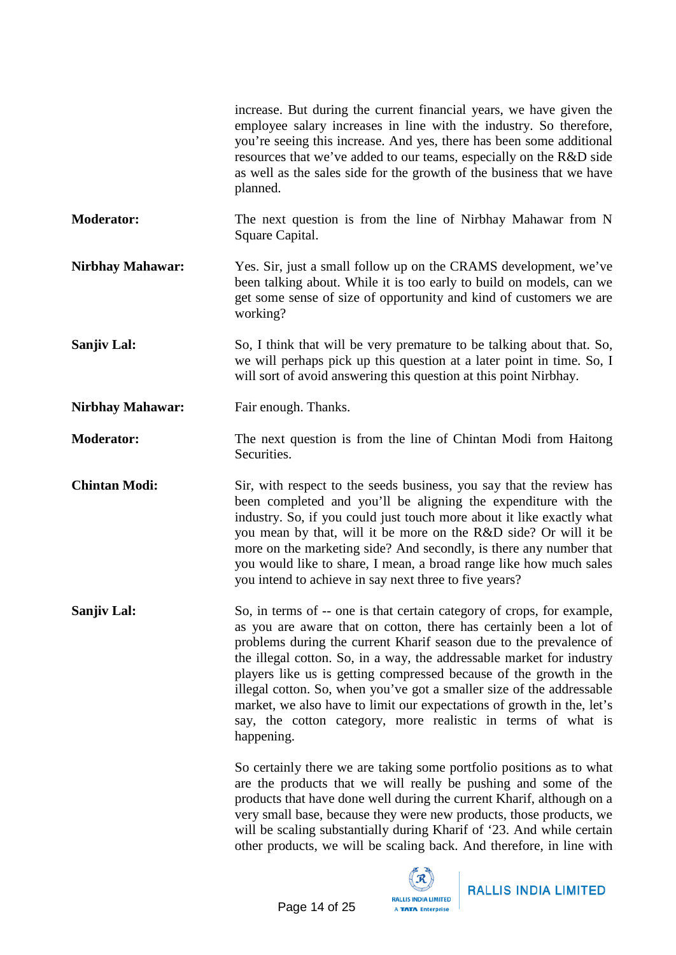|                         | increase. But during the current financial years, we have given the<br>employee salary increases in line with the industry. So therefore,<br>you're seeing this increase. And yes, there has been some additional<br>resources that we've added to our teams, especially on the R&D side<br>as well as the sales side for the growth of the business that we have<br>planned.                                                                                                                                                                                                                      |
|-------------------------|----------------------------------------------------------------------------------------------------------------------------------------------------------------------------------------------------------------------------------------------------------------------------------------------------------------------------------------------------------------------------------------------------------------------------------------------------------------------------------------------------------------------------------------------------------------------------------------------------|
| <b>Moderator:</b>       | The next question is from the line of Nirbhay Mahawar from N<br>Square Capital.                                                                                                                                                                                                                                                                                                                                                                                                                                                                                                                    |
| <b>Nirbhay Mahawar:</b> | Yes. Sir, just a small follow up on the CRAMS development, we've<br>been talking about. While it is too early to build on models, can we<br>get some sense of size of opportunity and kind of customers we are<br>working?                                                                                                                                                                                                                                                                                                                                                                         |
| Sanjiv Lal:             | So, I think that will be very premature to be talking about that. So,<br>we will perhaps pick up this question at a later point in time. So, I<br>will sort of avoid answering this question at this point Nirbhay.                                                                                                                                                                                                                                                                                                                                                                                |
| <b>Nirbhay Mahawar:</b> | Fair enough. Thanks.                                                                                                                                                                                                                                                                                                                                                                                                                                                                                                                                                                               |
| <b>Moderator:</b>       | The next question is from the line of Chintan Modi from Haitong<br>Securities.                                                                                                                                                                                                                                                                                                                                                                                                                                                                                                                     |
| <b>Chintan Modi:</b>    | Sir, with respect to the seeds business, you say that the review has<br>been completed and you'll be aligning the expenditure with the<br>industry. So, if you could just touch more about it like exactly what<br>you mean by that, will it be more on the R&D side? Or will it be<br>more on the marketing side? And secondly, is there any number that<br>you would like to share, I mean, a broad range like how much sales<br>you intend to achieve in say next three to five years?                                                                                                          |
| Sanjiv Lal:             | So, in terms of -- one is that certain category of crops, for example,<br>as you are aware that on cotton, there has certainly been a lot of<br>problems during the current Kharif season due to the prevalence of<br>the illegal cotton. So, in a way, the addressable market for industry<br>players like us is getting compressed because of the growth in the<br>illegal cotton. So, when you've got a smaller size of the addressable<br>market, we also have to limit our expectations of growth in the, let's<br>say, the cotton category, more realistic in terms of what is<br>happening. |
|                         | So certainly there we are taking some portfolio positions as to what<br>are the products that we will really be pushing and some of the<br>products that have done well during the current Kharif, although on a<br>very small base, because they were new products, those products, we<br>will be scaling substantially during Kharif of '23. And while certain<br>other products, we will be scaling back. And therefore, in line with                                                                                                                                                           |

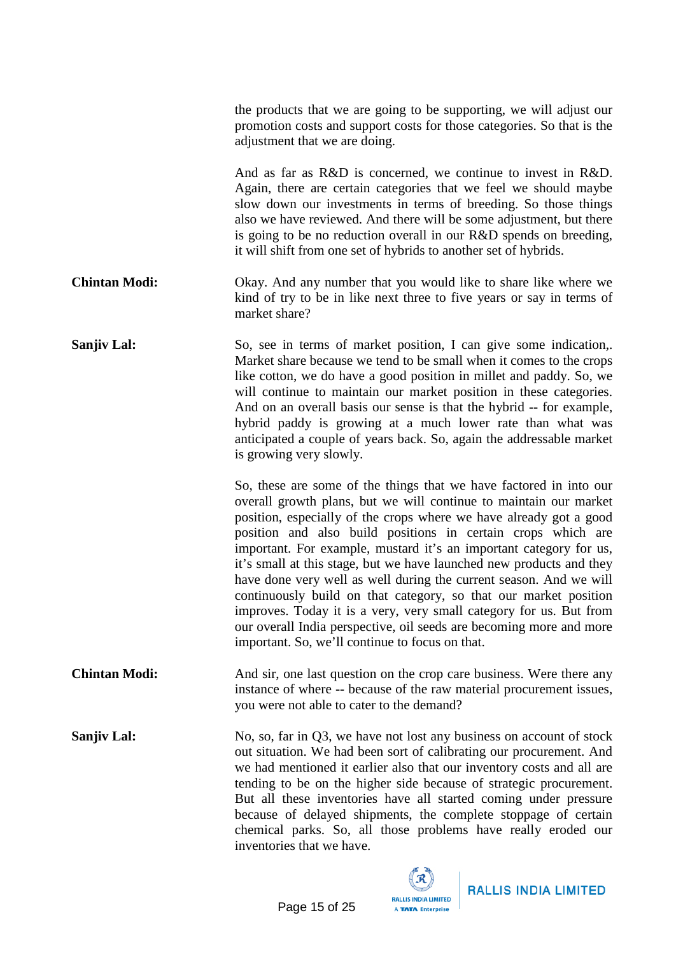the products that we are going to be supporting, we will adjust our promotion costs and support costs for those categories. So that is the adjustment that we are doing.

And as far as R&D is concerned, we continue to invest in R&D. Again, there are certain categories that we feel we should maybe slow down our investments in terms of breeding. So those things also we have reviewed. And there will be some adjustment, but there is going to be no reduction overall in our R&D spends on breeding, it will shift from one set of hybrids to another set of hybrids.

**Chintan Modi:** Okay. And any number that you would like to share like where we kind of try to be in like next three to five years or say in terms of market share?

**Sanjiv Lal:** So, see in terms of market position, I can give some indication,. Market share because we tend to be small when it comes to the crops like cotton, we do have a good position in millet and paddy. So, we will continue to maintain our market position in these categories. And on an overall basis our sense is that the hybrid -- for example, hybrid paddy is growing at a much lower rate than what was anticipated a couple of years back. So, again the addressable market is growing very slowly.

> So, these are some of the things that we have factored in into our overall growth plans, but we will continue to maintain our market position, especially of the crops where we have already got a good position and also build positions in certain crops which are important. For example, mustard it's an important category for us, it's small at this stage, but we have launched new products and they have done very well as well during the current season. And we will continuously build on that category, so that our market position improves. Today it is a very, very small category for us. But from our overall India perspective, oil seeds are becoming more and more important. So, we'll continue to focus on that.

**Chintan Modi:** And sir, one last question on the crop care business. Were there any instance of where -- because of the raw material procurement issues, you were not able to cater to the demand?

**Sanjiv Lal:** No, so, far in Q3, we have not lost any business on account of stock out situation. We had been sort of calibrating our procurement. And we had mentioned it earlier also that our inventory costs and all are tending to be on the higher side because of strategic procurement. But all these inventories have all started coming under pressure because of delayed shipments, the complete stoppage of certain chemical parks. So, all those problems have really eroded our inventories that we have.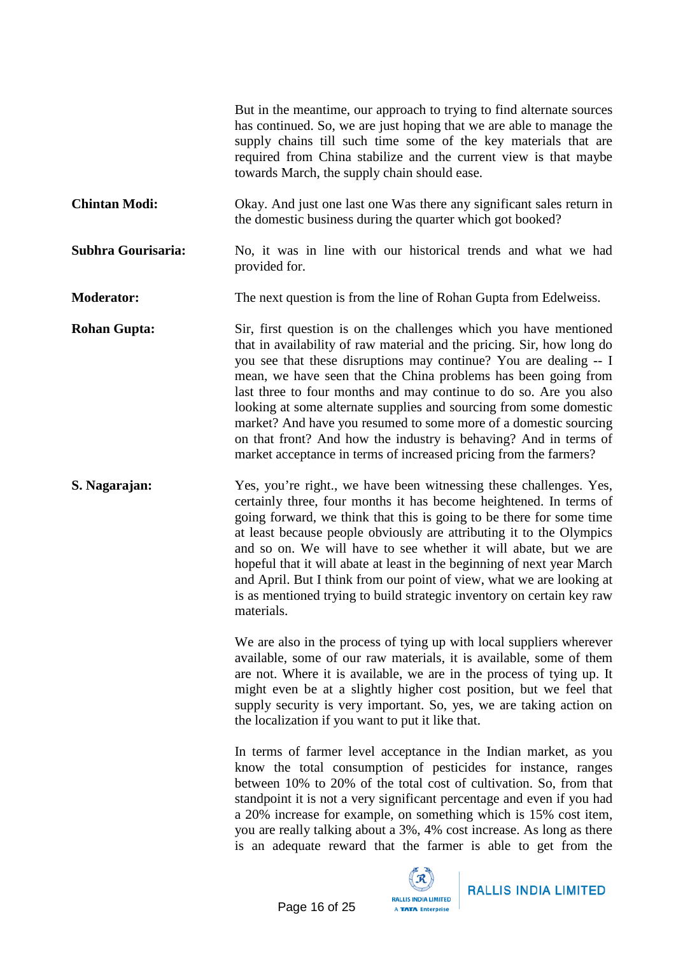|                           | But in the meantime, our approach to trying to find alternate sources<br>has continued. So, we are just hoping that we are able to manage the<br>supply chains till such time some of the key materials that are<br>required from China stabilize and the current view is that maybe<br>towards March, the supply chain should ease.                                                                                                                                                                                                                                                                                                       |
|---------------------------|--------------------------------------------------------------------------------------------------------------------------------------------------------------------------------------------------------------------------------------------------------------------------------------------------------------------------------------------------------------------------------------------------------------------------------------------------------------------------------------------------------------------------------------------------------------------------------------------------------------------------------------------|
| <b>Chintan Modi:</b>      | Okay. And just one last one Was there any significant sales return in<br>the domestic business during the quarter which got booked?                                                                                                                                                                                                                                                                                                                                                                                                                                                                                                        |
| <b>Subhra Gourisaria:</b> | No, it was in line with our historical trends and what we had<br>provided for.                                                                                                                                                                                                                                                                                                                                                                                                                                                                                                                                                             |
| <b>Moderator:</b>         | The next question is from the line of Rohan Gupta from Edelweiss.                                                                                                                                                                                                                                                                                                                                                                                                                                                                                                                                                                          |
| <b>Rohan Gupta:</b>       | Sir, first question is on the challenges which you have mentioned<br>that in availability of raw material and the pricing. Sir, how long do<br>you see that these disruptions may continue? You are dealing -- I<br>mean, we have seen that the China problems has been going from<br>last three to four months and may continue to do so. Are you also<br>looking at some alternate supplies and sourcing from some domestic<br>market? And have you resumed to some more of a domestic sourcing<br>on that front? And how the industry is behaving? And in terms of<br>market acceptance in terms of increased pricing from the farmers? |
| S. Nagarajan:             | Yes, you're right., we have been witnessing these challenges. Yes,<br>certainly three, four months it has become heightened. In terms of<br>going forward, we think that this is going to be there for some time<br>at least because people obviously are attributing it to the Olympics<br>and so on. We will have to see whether it will abate, but we are<br>hopeful that it will abate at least in the beginning of next year March<br>and April. But I think from our point of view, what we are looking at<br>is as mentioned trying to build strategic inventory on certain key raw<br>materials.                                   |
|                           | We are also in the process of tying up with local suppliers wherever<br>available, some of our raw materials, it is available, some of them<br>are not. Where it is available, we are in the process of tying up. It<br>might even be at a slightly higher cost position, but we feel that<br>supply security is very important. So, yes, we are taking action on<br>the localization if you want to put it like that.                                                                                                                                                                                                                     |
|                           | In terms of farmer level acceptance in the Indian market, as you<br>know the total consumption of pesticides for instance, ranges<br>between 10% to 20% of the total cost of cultivation. So, from that<br>standpoint it is not a very significant percentage and even if you had<br>a 20% increase for example, on something which is 15% cost item,<br>you are really talking about a 3%, 4% cost increase. As long as there<br>is an adequate reward that the farmer is able to get from the                                                                                                                                            |
|                           | <b>Pro</b>                                                                                                                                                                                                                                                                                                                                                                                                                                                                                                                                                                                                                                 |

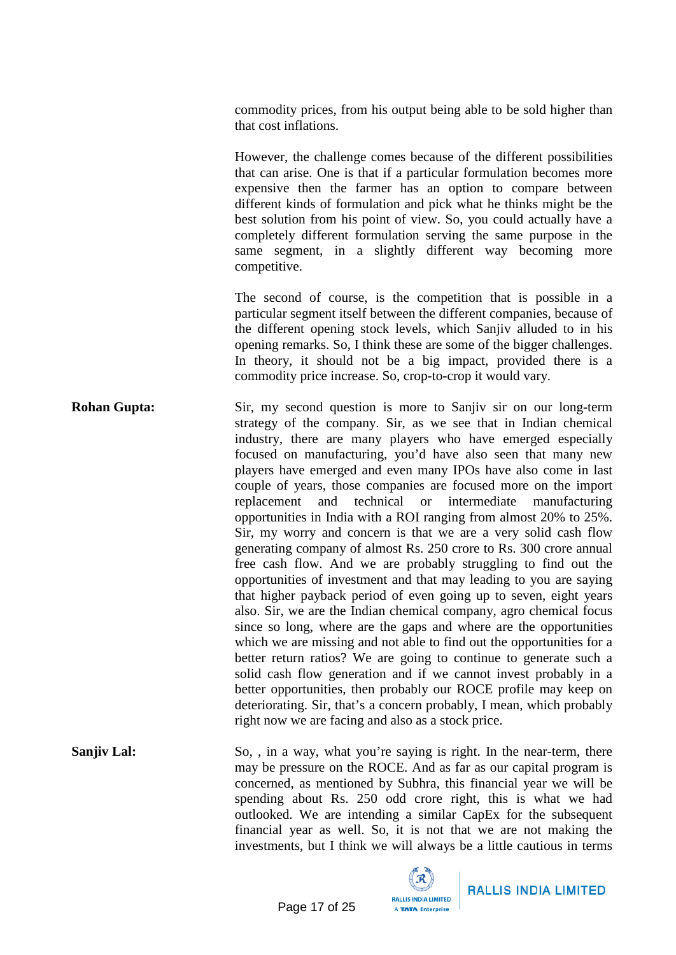commodity prices, from his output being able to be sold higher than that cost inflations.

However, the challenge comes because of the different possibilities that can arise. One is that if a particular formulation becomes more expensive then the farmer has an option to compare between different kinds of formulation and pick what he thinks might be the best solution from his point of view. So, you could actually have a completely different formulation serving the same purpose in the same segment, in a slightly different way becoming more competitive.

The second of course, is the competition that is possible in a particular segment itself between the different companies, because of the different opening stock levels, which Sanjiv alluded to in his opening remarks. So, I think these are some of the bigger challenges. In theory, it should not be a big impact, provided there is a commodity price increase. So, crop-to-crop it would vary.

- **Rohan Gupta:** Sir, my second question is more to Sanjiy sir on our long-term strategy of the company. Sir, as we see that in Indian chemical industry, there are many players who have emerged especially focused on manufacturing, you'd have also seen that many new players have emerged and even many IPOs have also come in last couple of years, those companies are focused more on the import replacement and technical or intermediate manufacturing opportunities in India with a ROI ranging from almost 20% to 25%. Sir, my worry and concern is that we are a very solid cash flow generating company of almost Rs. 250 crore to Rs. 300 crore annual free cash flow. And we are probably struggling to find out the opportunities of investment and that may leading to you are saying that higher payback period of even going up to seven, eight years also. Sir, we are the Indian chemical company, agro chemical focus since so long, where are the gaps and where are the opportunities which we are missing and not able to find out the opportunities for a better return ratios? We are going to continue to generate such a solid cash flow generation and if we cannot invest probably in a better opportunities, then probably our ROCE profile may keep on deteriorating. Sir, that's a concern probably, I mean, which probably right now we are facing and also as a stock price.
- **Sanjiv Lal:** So, , in a way, what you're saying is right. In the near-term, there may be pressure on the ROCE. And as far as our capital program is concerned, as mentioned by Subhra, this financial year we will be spending about Rs. 250 odd crore right, this is what we had outlooked. We are intending a similar CapEx for the subsequent financial year as well. So, it is not that we are not making the investments, but I think we will always be a little cautious in terms

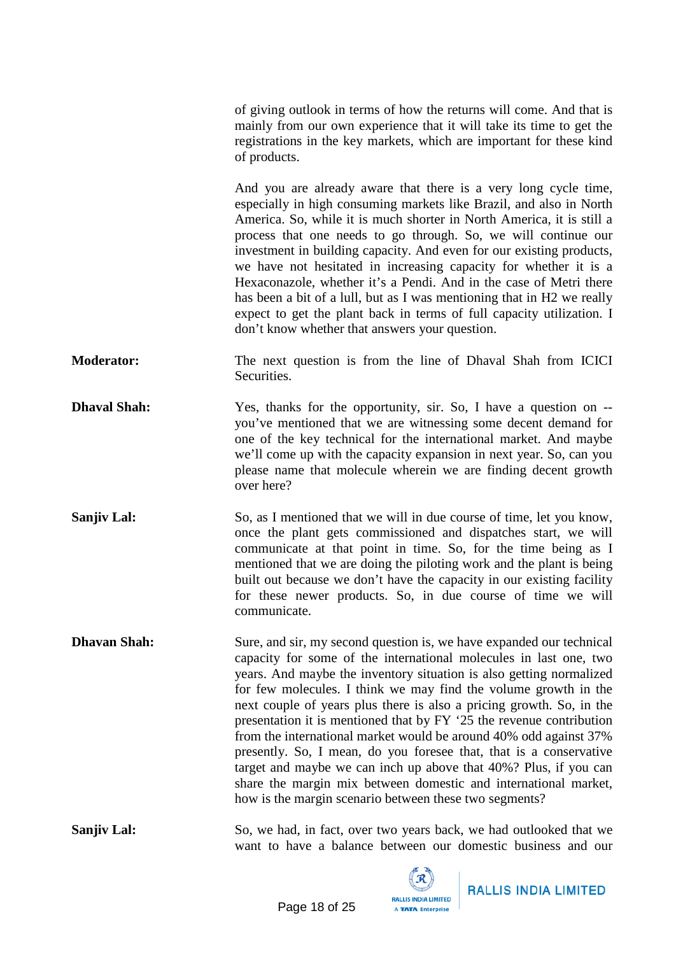of giving outlook in terms of how the returns will come. And that is mainly from our own experience that it will take its time to get the registrations in the key markets, which are important for these kind of products.

And you are already aware that there is a very long cycle time, especially in high consuming markets like Brazil, and also in North America. So, while it is much shorter in North America, it is still a process that one needs to go through. So, we will continue our investment in building capacity. And even for our existing products, we have not hesitated in increasing capacity for whether it is a Hexaconazole, whether it's a Pendi. And in the case of Metri there has been a bit of a lull, but as I was mentioning that in H2 we really expect to get the plant back in terms of full capacity utilization. I don't know whether that answers your question.

- **Moderator:** The next question is from the line of Dhaval Shah from ICICI Securities.
- **Dhaval Shah:** Yes, thanks for the opportunity, sir. So, I have a question on -you've mentioned that we are witnessing some decent demand for one of the key technical for the international market. And maybe we'll come up with the capacity expansion in next year. So, can you please name that molecule wherein we are finding decent growth over here?
- **Sanjiv Lal:** So, as I mentioned that we will in due course of time, let you know, once the plant gets commissioned and dispatches start, we will communicate at that point in time. So, for the time being as I mentioned that we are doing the piloting work and the plant is being built out because we don't have the capacity in our existing facility for these newer products. So, in due course of time we will communicate.

**Dhavan Shah:** Sure, and sir, my second question is, we have expanded our technical capacity for some of the international molecules in last one, two years. And maybe the inventory situation is also getting normalized for few molecules. I think we may find the volume growth in the next couple of years plus there is also a pricing growth. So, in the presentation it is mentioned that by FY '25 the revenue contribution from the international market would be around 40% odd against 37% presently. So, I mean, do you foresee that, that is a conservative target and maybe we can inch up above that 40%? Plus, if you can share the margin mix between domestic and international market, how is the margin scenario between these two segments?

**Sanjiv Lal:** So, we had, in fact, over two years back, we had outlooked that we want to have a balance between our domestic business and our

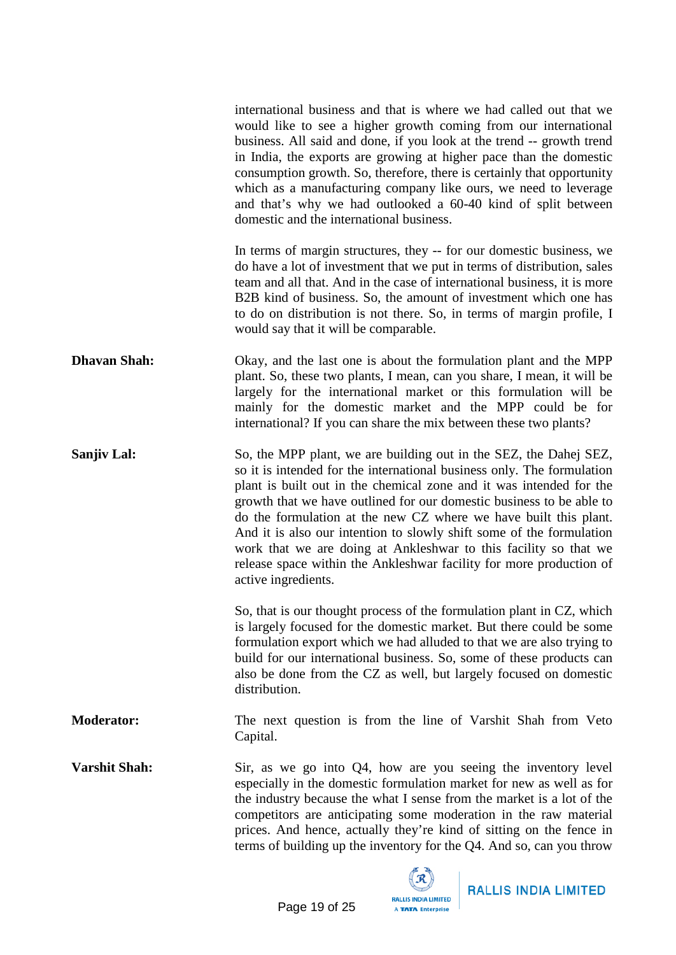|                      | international business and that is where we had called out that we<br>would like to see a higher growth coming from our international<br>business. All said and done, if you look at the trend -- growth trend<br>in India, the exports are growing at higher pace than the domestic<br>consumption growth. So, therefore, there is certainly that opportunity<br>which as a manufacturing company like ours, we need to leverage<br>and that's why we had outlooked a 60-40 kind of split between<br>domestic and the international business.                                                           |
|----------------------|----------------------------------------------------------------------------------------------------------------------------------------------------------------------------------------------------------------------------------------------------------------------------------------------------------------------------------------------------------------------------------------------------------------------------------------------------------------------------------------------------------------------------------------------------------------------------------------------------------|
|                      | In terms of margin structures, they -- for our domestic business, we<br>do have a lot of investment that we put in terms of distribution, sales<br>team and all that. And in the case of international business, it is more<br>B2B kind of business. So, the amount of investment which one has<br>to do on distribution is not there. So, in terms of margin profile, I<br>would say that it will be comparable.                                                                                                                                                                                        |
| <b>Dhavan Shah:</b>  | Okay, and the last one is about the formulation plant and the MPP<br>plant. So, these two plants, I mean, can you share, I mean, it will be<br>largely for the international market or this formulation will be<br>mainly for the domestic market and the MPP could be for<br>international? If you can share the mix between these two plants?                                                                                                                                                                                                                                                          |
| <b>Sanjiv Lal:</b>   | So, the MPP plant, we are building out in the SEZ, the Dahej SEZ,<br>so it is intended for the international business only. The formulation<br>plant is built out in the chemical zone and it was intended for the<br>growth that we have outlined for our domestic business to be able to<br>do the formulation at the new CZ where we have built this plant.<br>And it is also our intention to slowly shift some of the formulation<br>work that we are doing at Ankleshwar to this facility so that we<br>release space within the Ankleshwar facility for more production of<br>active ingredients. |
|                      | So, that is our thought process of the formulation plant in CZ, which<br>is largely focused for the domestic market. But there could be some<br>formulation export which we had alluded to that we are also trying to<br>build for our international business. So, some of these products can<br>also be done from the CZ as well, but largely focused on domestic<br>distribution.                                                                                                                                                                                                                      |
| <b>Moderator:</b>    | The next question is from the line of Varshit Shah from Veto<br>Capital.                                                                                                                                                                                                                                                                                                                                                                                                                                                                                                                                 |
| <b>Varshit Shah:</b> | Sir, as we go into $Q_4$ , how are you seeing the inventory level<br>especially in the domestic formulation market for new as well as for<br>the industry because the what I sense from the market is a lot of the<br>competitors are anticipating some moderation in the raw material<br>prices. And hence, actually they're kind of sitting on the fence in<br>terms of building up the inventory for the Q4. And so, can you throw                                                                                                                                                                    |

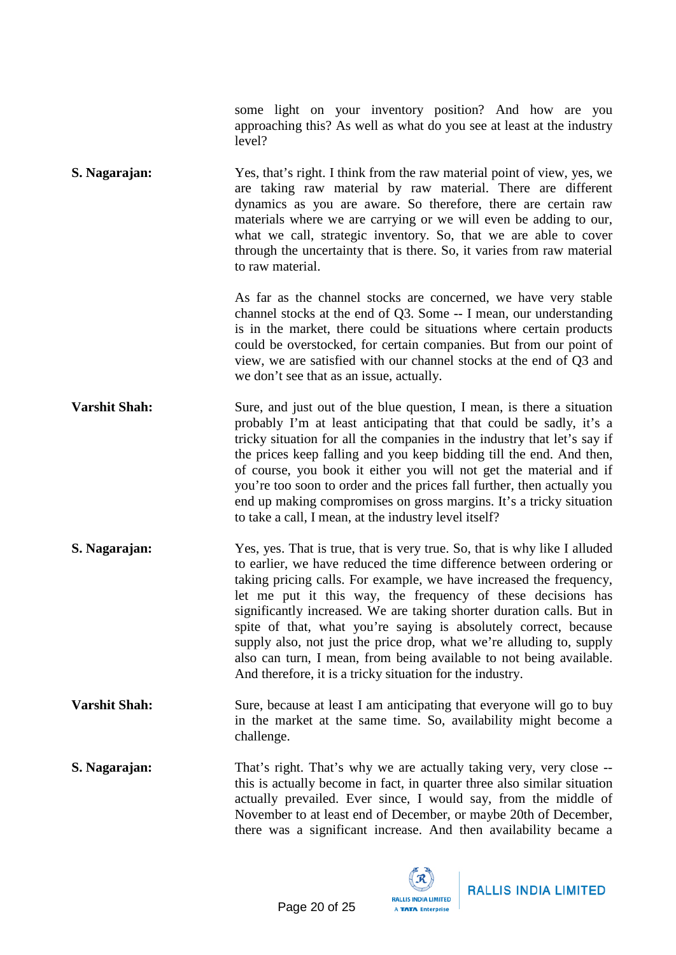some light on your inventory position? And how are you approaching this? As well as what do you see at least at the industry level?

**S. Nagarajan:** Yes, that's right. I think from the raw material point of view, yes, we are taking raw material by raw material. There are different dynamics as you are aware. So therefore, there are certain raw materials where we are carrying or we will even be adding to our, what we call, strategic inventory. So, that we are able to cover through the uncertainty that is there. So, it varies from raw material to raw material.

> As far as the channel stocks are concerned, we have very stable channel stocks at the end of Q3. Some -- I mean, our understanding is in the market, there could be situations where certain products could be overstocked, for certain companies. But from our point of view, we are satisfied with our channel stocks at the end of Q3 and we don't see that as an issue, actually.

- **Varshit Shah:** Sure, and just out of the blue question, I mean, is there a situation probably I'm at least anticipating that that could be sadly, it's a tricky situation for all the companies in the industry that let's say if the prices keep falling and you keep bidding till the end. And then, of course, you book it either you will not get the material and if you're too soon to order and the prices fall further, then actually you end up making compromises on gross margins. It's a tricky situation to take a call, I mean, at the industry level itself?
- **S. Nagarajan:** Yes, yes. That is true, that is very true. So, that is why like I alluded to earlier, we have reduced the time difference between ordering or taking pricing calls. For example, we have increased the frequency, let me put it this way, the frequency of these decisions has significantly increased. We are taking shorter duration calls. But in spite of that, what you're saying is absolutely correct, because supply also, not just the price drop, what we're alluding to, supply also can turn, I mean, from being available to not being available. And therefore, it is a tricky situation for the industry.
- **Varshit Shah:** Sure, because at least I am anticipating that everyone will go to buy in the market at the same time. So, availability might become a challenge.
- **S. Nagarajan:** That's right. That's why we are actually taking very, very close -this is actually become in fact, in quarter three also similar situation actually prevailed. Ever since, I would say, from the middle of November to at least end of December, or maybe 20th of December, there was a significant increase. And then availability became a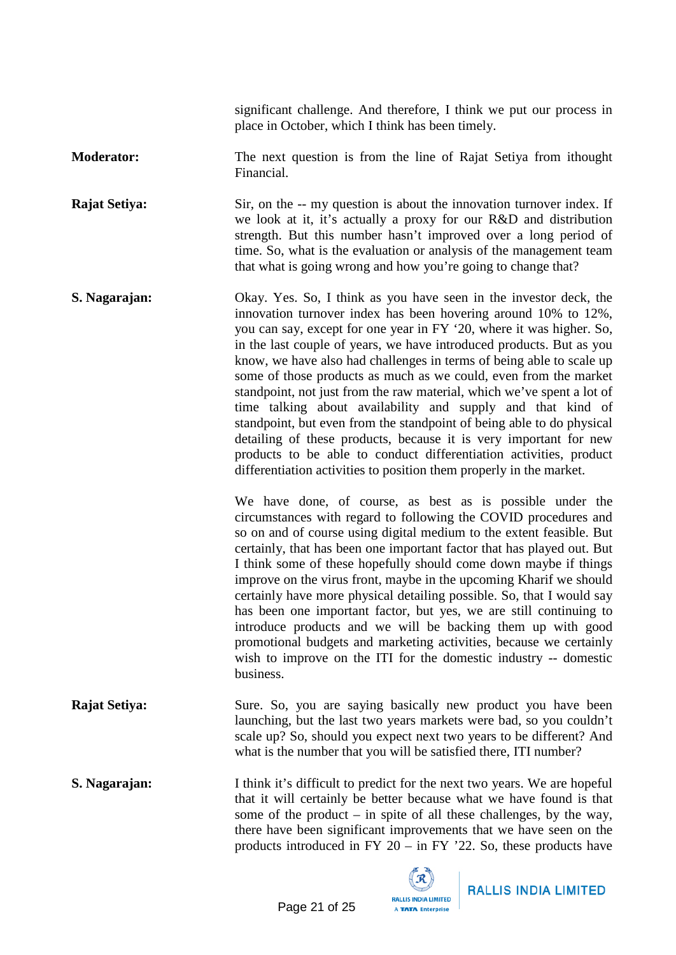significant challenge. And therefore, I think we put our process in place in October, which I think has been timely.

**Moderator:** The next question is from the line of Rajat Setiya from ithought Financial.

**Rajat Setiya:** Sir, on the -- my question is about the innovation turnover index. If we look at it, it's actually a proxy for our R&D and distribution strength. But this number hasn't improved over a long period of time. So, what is the evaluation or analysis of the management team that what is going wrong and how you're going to change that?

**S. Nagarajan:** Okay. Yes. So, I think as you have seen in the investor deck, the innovation turnover index has been hovering around 10% to 12%, you can say, except for one year in FY '20, where it was higher. So, in the last couple of years, we have introduced products. But as you know, we have also had challenges in terms of being able to scale up some of those products as much as we could, even from the market standpoint, not just from the raw material, which we've spent a lot of time talking about availability and supply and that kind of standpoint, but even from the standpoint of being able to do physical detailing of these products, because it is very important for new products to be able to conduct differentiation activities, product differentiation activities to position them properly in the market.

> We have done, of course, as best as is possible under the circumstances with regard to following the COVID procedures and so on and of course using digital medium to the extent feasible. But certainly, that has been one important factor that has played out. But I think some of these hopefully should come down maybe if things improve on the virus front, maybe in the upcoming Kharif we should certainly have more physical detailing possible. So, that I would say has been one important factor, but yes, we are still continuing to introduce products and we will be backing them up with good promotional budgets and marketing activities, because we certainly wish to improve on the ITI for the domestic industry -- domestic business.

**Rajat Setiya:** Sure. So, you are saying basically new product you have been launching, but the last two years markets were bad, so you couldn't scale up? So, should you expect next two years to be different? And what is the number that you will be satisfied there, ITI number?

**S. Nagarajan:** I think it's difficult to predict for the next two years. We are hopeful that it will certainly be better because what we have found is that some of the product – in spite of all these challenges, by the way, there have been significant improvements that we have seen on the products introduced in FY 20 – in FY '22. So, these products have

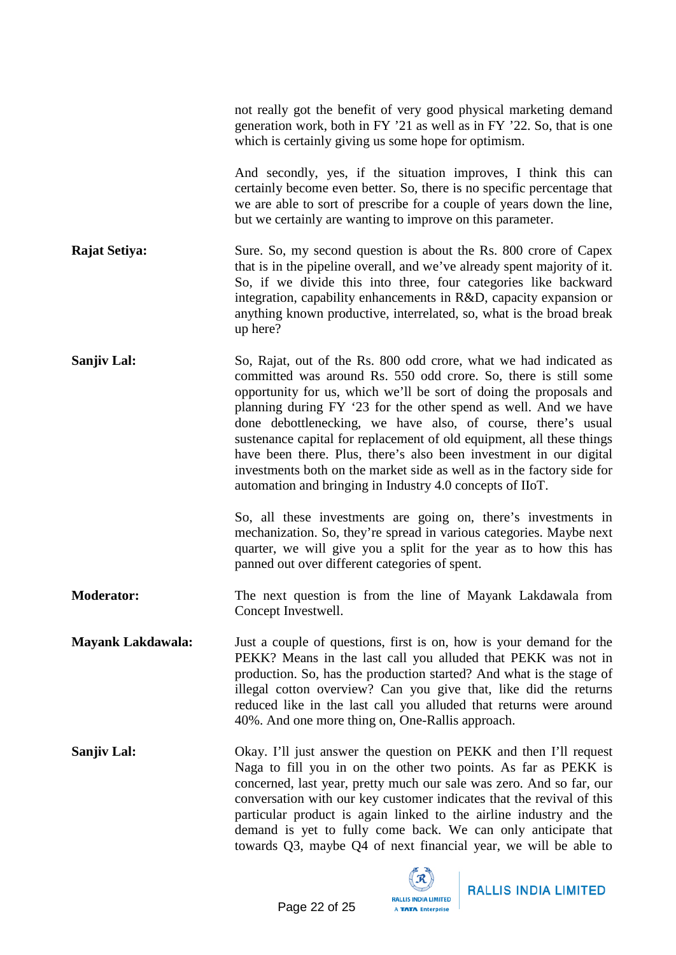|                          | not really got the benefit of very good physical marketing demand<br>generation work, both in FY '21 as well as in FY '22. So, that is one<br>which is certainly giving us some hope for optimism.                                                                                                                                                                                                                                                                                                                                                                                                                                  |
|--------------------------|-------------------------------------------------------------------------------------------------------------------------------------------------------------------------------------------------------------------------------------------------------------------------------------------------------------------------------------------------------------------------------------------------------------------------------------------------------------------------------------------------------------------------------------------------------------------------------------------------------------------------------------|
|                          | And secondly, yes, if the situation improves, I think this can<br>certainly become even better. So, there is no specific percentage that<br>we are able to sort of prescribe for a couple of years down the line,<br>but we certainly are wanting to improve on this parameter.                                                                                                                                                                                                                                                                                                                                                     |
| <b>Rajat Setiya:</b>     | Sure. So, my second question is about the Rs. 800 crore of Capex<br>that is in the pipeline overall, and we've already spent majority of it.<br>So, if we divide this into three, four categories like backward<br>integration, capability enhancements in R&D, capacity expansion or<br>anything known productive, interrelated, so, what is the broad break<br>up here?                                                                                                                                                                                                                                                           |
| <b>Sanjiv Lal:</b>       | So, Rajat, out of the Rs. 800 odd crore, what we had indicated as<br>committed was around Rs. 550 odd crore. So, there is still some<br>opportunity for us, which we'll be sort of doing the proposals and<br>planning during FY '23 for the other spend as well. And we have<br>done debottlenecking, we have also, of course, there's usual<br>sustenance capital for replacement of old equipment, all these things<br>have been there. Plus, there's also been investment in our digital<br>investments both on the market side as well as in the factory side for<br>automation and bringing in Industry 4.0 concepts of IIoT. |
|                          | So, all these investments are going on, there's investments in<br>mechanization. So, they're spread in various categories. Maybe next<br>quarter, we will give you a split for the year as to how this has<br>panned out over different categories of spent.                                                                                                                                                                                                                                                                                                                                                                        |
| <b>Moderator:</b>        | The next question is from the line of Mayank Lakdawala from<br>Concept Investwell.                                                                                                                                                                                                                                                                                                                                                                                                                                                                                                                                                  |
| <b>Mayank Lakdawala:</b> | Just a couple of questions, first is on, how is your demand for the<br>PEKK? Means in the last call you alluded that PEKK was not in<br>production. So, has the production started? And what is the stage of<br>illegal cotton overview? Can you give that, like did the returns<br>reduced like in the last call you alluded that returns were around<br>40%. And one more thing on, One-Rallis approach.                                                                                                                                                                                                                          |
| Sanjiv Lal:              | Okay. I'll just answer the question on PEKK and then I'll request<br>Naga to fill you in on the other two points. As far as PEKK is<br>concerned, last year, pretty much our sale was zero. And so far, our<br>conversation with our key customer indicates that the revival of this<br>particular product is again linked to the airline industry and the<br>demand is yet to fully come back. We can only anticipate that<br>towards Q3, maybe Q4 of next financial year, we will be able to                                                                                                                                      |

 $\mathbb{Z}$ 

A TATA Enterprise

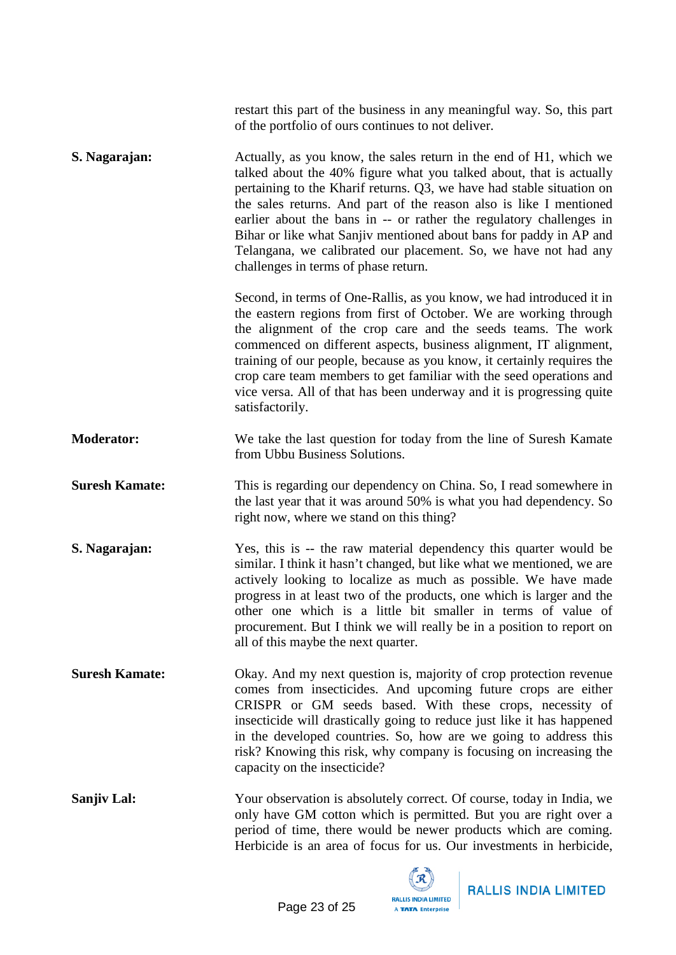|                       | restart this part of the business in any meaningful way. So, this part<br>of the portfolio of ours continues to not deliver.                                                                                                                                                                                                                                                                                                                                                                                                                     |
|-----------------------|--------------------------------------------------------------------------------------------------------------------------------------------------------------------------------------------------------------------------------------------------------------------------------------------------------------------------------------------------------------------------------------------------------------------------------------------------------------------------------------------------------------------------------------------------|
| S. Nagarajan:         | Actually, as you know, the sales return in the end of H1, which we<br>talked about the 40% figure what you talked about, that is actually<br>pertaining to the Kharif returns. Q3, we have had stable situation on<br>the sales returns. And part of the reason also is like I mentioned<br>earlier about the bans in -- or rather the regulatory challenges in<br>Bihar or like what Sanjiv mentioned about bans for paddy in AP and<br>Telangana, we calibrated our placement. So, we have not had any<br>challenges in terms of phase return. |
|                       | Second, in terms of One-Rallis, as you know, we had introduced it in<br>the eastern regions from first of October. We are working through<br>the alignment of the crop care and the seeds teams. The work<br>commenced on different aspects, business alignment, IT alignment,<br>training of our people, because as you know, it certainly requires the<br>crop care team members to get familiar with the seed operations and<br>vice versa. All of that has been underway and it is progressing quite<br>satisfactorily.                      |
| <b>Moderator:</b>     | We take the last question for today from the line of Suresh Kamate<br>from Ubbu Business Solutions.                                                                                                                                                                                                                                                                                                                                                                                                                                              |
| <b>Suresh Kamate:</b> | This is regarding our dependency on China. So, I read somewhere in<br>the last year that it was around 50% is what you had dependency. So<br>right now, where we stand on this thing?                                                                                                                                                                                                                                                                                                                                                            |
| S. Nagarajan:         | Yes, this is -- the raw material dependency this quarter would be<br>similar. I think it hasn't changed, but like what we mentioned, we are<br>actively looking to localize as much as possible. We have made<br>progress in at least two of the products, one which is larger and the<br>other one which is a little bit smaller in terms of value of<br>procurement. But I think we will really be in a position to report on<br>all of this maybe the next quarter.                                                                           |
| <b>Suresh Kamate:</b> | Okay. And my next question is, majority of crop protection revenue<br>comes from insecticides. And upcoming future crops are either<br>CRISPR or GM seeds based. With these crops, necessity of<br>insecticide will drastically going to reduce just like it has happened<br>in the developed countries. So, how are we going to address this<br>risk? Knowing this risk, why company is focusing on increasing the<br>capacity on the insecticide?                                                                                              |
| <b>Sanjiv Lal:</b>    | Your observation is absolutely correct. Of course, today in India, we<br>only have GM cotton which is permitted. But you are right over a<br>period of time, there would be newer products which are coming.<br>Herbicide is an area of focus for us. Our investments in herbicide,                                                                                                                                                                                                                                                              |



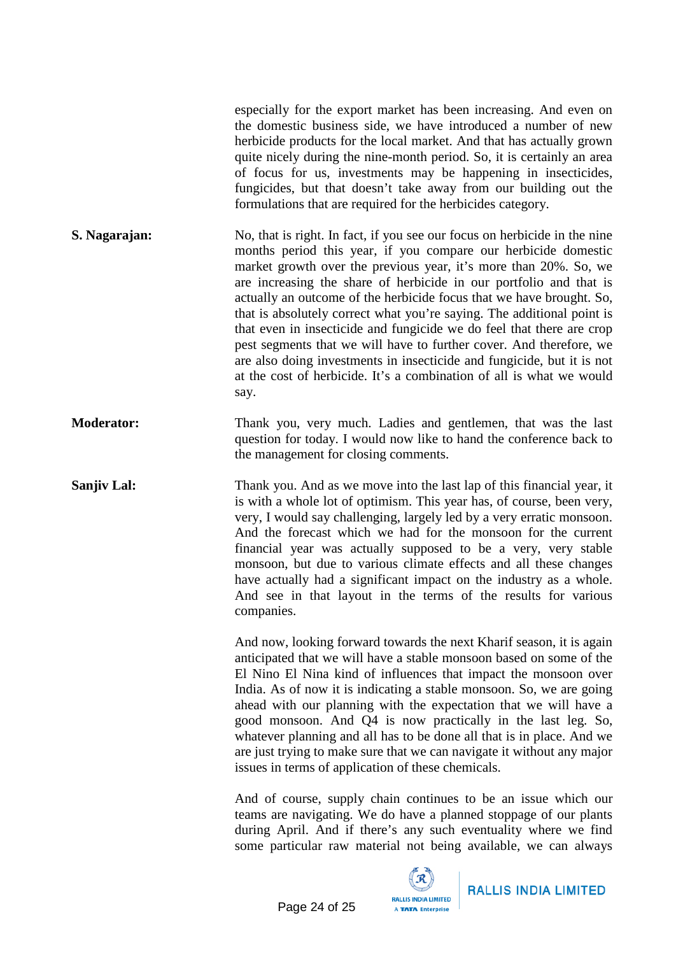especially for the export market has been increasing. And even on the domestic business side, we have introduced a number of new herbicide products for the local market. And that has actually grown quite nicely during the nine-month period. So, it is certainly an area of focus for us, investments may be happening in insecticides, fungicides, but that doesn't take away from our building out the formulations that are required for the herbicides category. **S. Nagarajan:** No, that is right. In fact, if you see our focus on herbicide in the nine months period this year, if you compare our herbicide domestic market growth over the previous year, it's more than 20%. So, we are increasing the share of herbicide in our portfolio and that is actually an outcome of the herbicide focus that we have brought. So, that is absolutely correct what you're saying. The additional point is that even in insecticide and fungicide we do feel that there are crop pest segments that we will have to further cover. And therefore, we are also doing investments in insecticide and fungicide, but it is not at the cost of herbicide. It's a combination of all is what we would say. **Moderator:** Thank you, very much. Ladies and gentlemen, that was the last question for today. I would now like to hand the conference back to the management for closing comments. **Sanjiv Lal:** Thank you. And as we move into the last lap of this financial year, it is with a whole lot of optimism. This year has, of course, been very, very, I would say challenging, largely led by a very erratic monsoon. And the forecast which we had for the monsoon for the current financial year was actually supposed to be a very, very stable monsoon, but due to various climate effects and all these changes have actually had a significant impact on the industry as a whole. And see in that layout in the terms of the results for various companies. And now, looking forward towards the next Kharif season, it is again anticipated that we will have a stable monsoon based on some of the El Nino El Nina kind of influences that impact the monsoon over India. As of now it is indicating a stable monsoon. So, we are going ahead with our planning with the expectation that we will have a good monsoon. And Q4 is now practically in the last leg. So, whatever planning and all has to be done all that is in place. And we are just trying to make sure that we can navigate it without any major issues in terms of application of these chemicals. And of course, supply chain continues to be an issue which our teams are navigating. We do have a planned stoppage of our plants during April. And if there's any such eventuality where we find some particular raw material not being available, we can always